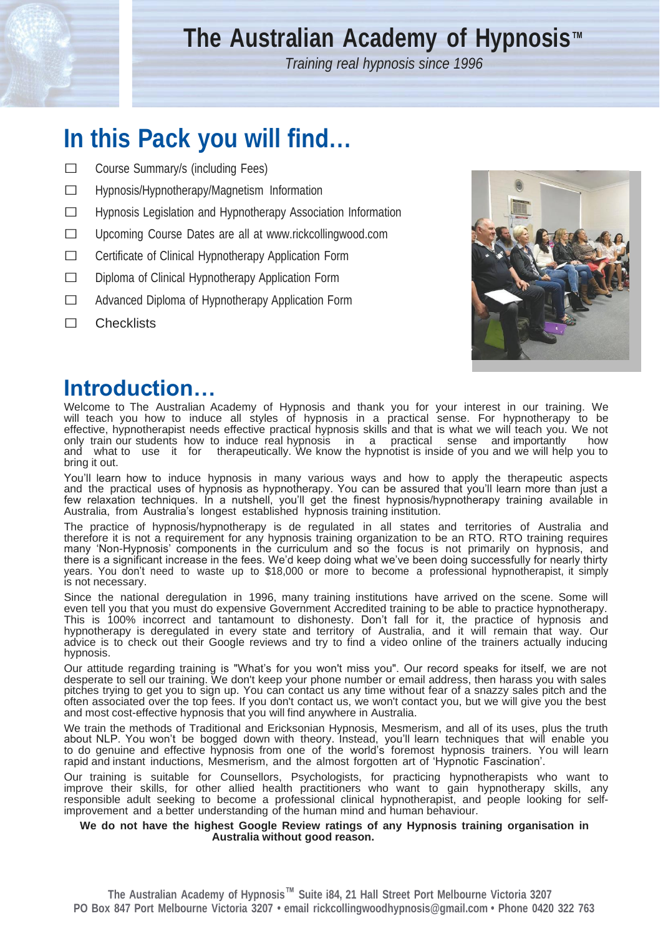

*Training real hypnosis since 1996*

## **In this Pack you will find…**

- □ Course Summary/s (including Fees)
- □ Hypnosis/Hypnotherapy/Magnetism Information
- □ Hypnosis Legislation and Hypnotherapy Association Information
- □ Upcoming Course Dates are all at [www.rickcollingwood.com](http://www.rickcollingwood.com/)
- □ Certificate of Clinical Hypnotherapy Application Form
- □ Diploma of Clinical Hypnotherapy Application Form
- □ Advanced Diploma of Hypnotherapy Application Form
- □ Checklists



### **Introduction…**

Welcome to The Australian Academy of Hypnosis and thank you for your interest in our training. We will teach you how to induce all styles of hypnosis in a practical sense. For hypnotherapy to be effective, hypnotherapist needs effective practical hypnosis skills and that is what we will teach you. We not only train our students how to induce real hypnosis in a practical sense and importantly how and what to use it for therapeutically. We know the hypnotist is inside of you and we will help you to bring it out.

You'll learn how to induce hypnosis in many various ways and how to apply the therapeutic aspects and the practical uses of hypnosis as hypnotherapy. You can be assured that you'll learn more than just a few relaxation techniques. In a nutshell, you'll get the finest hypnosis/hypnotherapy training available in Australia, from Australia's longest established hypnosis training institution.

The practice of hypnosis/hypnotherapy is de regulated in all states and territories of Australia and therefore it is not a requirement for any hypnosis training organization to be an RTO. RTO training requires many 'Non-Hypnosis' components in the curriculum and so the focus is not primarily on hypnosis, and there is a significant increase in the fees. We'd keep doing what we've been doing successfully for nearly thirty years. You don't need to waste up to \$18,000 or more to become a professional hypnotherapist, it simply is not necessary.

Since the national deregulation in 1996, many training institutions have arrived on the scene. Some will even tell you that you must do expensive Government Accredited training to be able to practice hypnotherapy. This is 100% incorrect and tantamount to dishonesty. Don't fall for it, the practice of hypnosis and hypnotherapy is deregulated in every state and territory of Australia, and it will remain that way. Our advice is to check out their Google reviews and try to find a video online of the trainers actually inducing hypnosis.

Our attitude regarding training is "What's for you won't miss you". Our record speaks for itself, we are not desperate to sell our training. We don't keep your phone number or email address, then harass you with sales pitches trying to get you to sign up. You can contact us any time without fear of a snazzy sales pitch and the often associated over the top fees. If you don't contact us, we won't contact you, but we will give you the best and most cost-effective hypnosis that you will find anywhere in Australia.

We train the methods of Traditional and Ericksonian Hypnosis, Mesmerism, and all of its uses, plus the truth about NLP. You won't be bogged down with theory. Instead, you'll learn techniques that will enable you to do genuine and effective hypnosis from one of the world's foremost hypnosis trainers. You will learn rapid and instant inductions, Mesmerism, and the almost forgotten art of 'Hypnotic Fascination'.

Our training is suitable for Counsellors, Psychologists, for practicing hypnotherapists who want to improve their skills, for other allied health practitioners who want to gain hypnotherapy skills, any responsible adult seeking to become a professional clinical hypnotherapist, and people looking for selfimprovement and a better understanding of the human mind and human behaviour.

#### **We do not have the highest Google Review ratings of any Hypnosis training organisation in Australia without good reason.**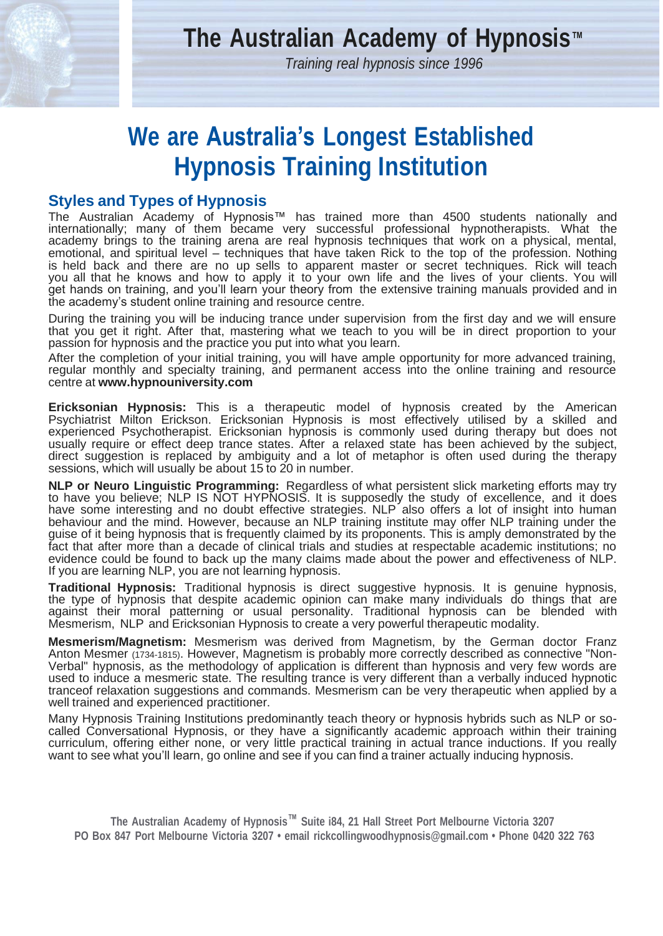

*Training real hypnosis since 1996*

## **We are Australia's Longest Established Hypnosis Training Institution**

### **Styles and Types of Hypnosis**

The Australian Academy of Hypnosis™ has trained more than 4500 students nationally and internationally; many of them became very successful professional hypnotherapists. What the academy brings to the training arena are real hypnosis techniques that work on a physical, mental, emotional, and spiritual level – techniques that have taken Rick to the top of the profession. Nothing is held back and there are no up sells to apparent master or secret techniques. Rick will teach you all that he knows and how to apply it to your own life and the lives of your clients. You will get hands on training, and you'll learn your theory from the extensive training manuals provided and in the academy's student online training and resource centre.

During the training you will be inducing trance under supervision from the first day and we will ensure that you get it right. After that, mastering what we teach to you will be in direct proportion to your passion for hypnosis and the practice you put into what you learn.

After the completion of your initial training, you will have ample opportunity for more advanced training, regular monthly and specialty training, and permanent access into the online training and resource centre at **[www.hypnouniversity.com](http://www.hypnouniversity.com/)**

**Ericksonian Hypnosis:** This is a therapeutic model of hypnosis created by the American Psychiatrist Milton Erickson. Ericksonian Hypnosis is most effectively utilised by a skilled and experienced Psychotherapist. Ericksonian hypnosis is commonly used during therapy but does not usually require or effect deep trance states. After a relaxed state has been achieved by the subject, direct suggestion is replaced by ambiguity and a lot of metaphor is often used during the therapy sessions, which will usually be about 15 to 20 in number.

**NLP or Neuro Linguistic Programming:** Regardless of what persistent slick marketing efforts may try to have you believe; NLP IS NOT HYPNOSIS. It is supposedly the study of excellence, and it does have some interesting and no doubt effective strategies. NLP also offers a lot of insight into human behaviour and the mind. However, because an NLP training institute may offer NLP training under the guise of it being hypnosis that is frequently claimed by its proponents. This is amply demonstrated by the fact that after more than a decade of clinical trials and studies at respectable academic institutions; no evidence could be found to back up the many claims made about the power and effectiveness of NLP. If you are learning NLP, you are not learning hypnosis.

**Traditional Hypnosis:** Traditional hypnosis is direct suggestive hypnosis. It is genuine hypnosis, the type of hypnosis that despite academic opinion can make many individuals do things that are against their moral patterning or usual personality. Traditional hypnosis can be blended with Mesmerism, NLP and Ericksonian Hypnosis to create a very powerful therapeutic modality.

**Mesmerism/Magnetism:** Mesmerism was derived from Magnetism, by the German doctor Franz Anton Mesmer (1734-1815). However, Magnetism is probably more correctly described as connective "Non-Verbal" hypnosis, as the methodology of application is different than hypnosis and very few words are used to induce a mesmeric state. The resulting trance is very different than a verbally induced hypnotic tranceof relaxation suggestions and commands. Mesmerism can be very therapeutic when applied by a well trained and experienced practitioner.

Many Hypnosis Training Institutions predominantly teach theory or hypnosis hybrids such as NLP or socalled Conversational Hypnosis, or they have a significantly academic approach within their training curriculum, offering either none, or very little practical training in actual trance inductions. If you really want to see what you'll learn, go online and see if you can find a trainer actually inducing hypnosis.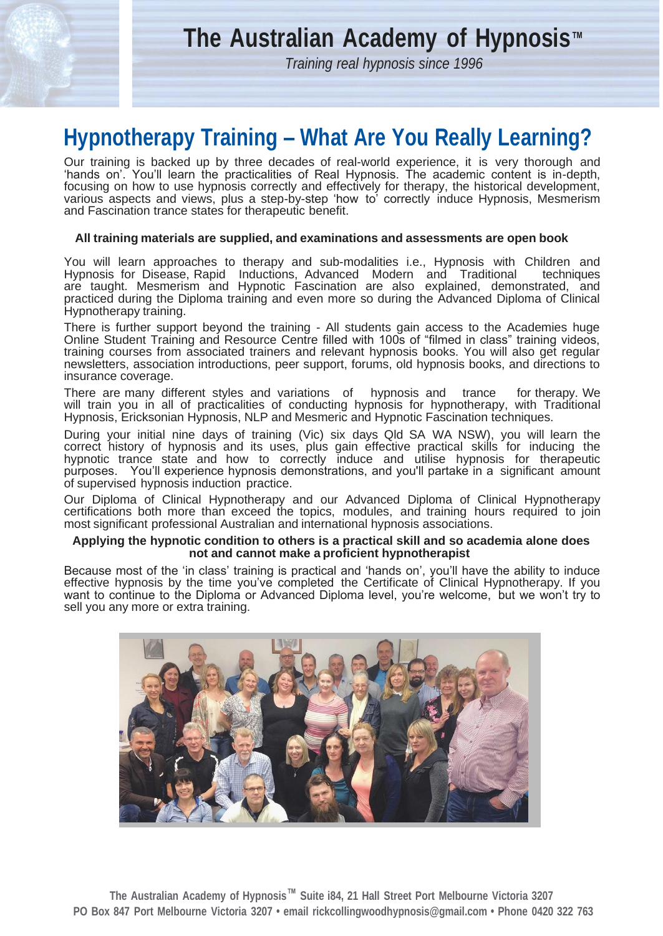

*Training real hypnosis since 1996*

## **Hypnotherapy Training – What Are You Really Learning?**

Our training is backed up by three decades of real-world experience, it is very thorough and 'hands on'. You'll learn the practicalities of Real Hypnosis. The academic content is in-depth, focusing on how to use hypnosis correctly and effectively for therapy, the historical development, various aspects and views, plus a step-by-step 'how to' correctly induce Hypnosis, Mesmerism and Fascination trance states for therapeutic benefit.

#### **All training materials are supplied, and examinations and assessments are open book**

You will learn approaches to therapy and sub-modalities i.e., Hypnosis with Children and Hypnosis for Disease, Rapid Inductions, Advanced Modern and Traditional techniques are taught. Mesmerism and Hypnotic Fascination are also explained, demonstrated, and practiced during the Diploma training and even more so during the Advanced Diploma of Clinical Hypnotherapy training.

There is further support beyond the training - All students gain access to the Academies huge Online Student Training and Resource Centre filled with 100s of "filmed in class" training videos, training courses from associated trainers and relevant hypnosis books. You will also get regular newsletters, association introductions, peer support, forums, old hypnosis books, and directions to insurance coverage.

There are many different styles and variations of hypnosis and trance for therapy. We will train you in all of practicalities of conducting hypnosis for hypnotherapy, with Traditional Hypnosis, Ericksonian Hypnosis, NLP and Mesmeric and Hypnotic Fascination techniques.

During your initial nine days of training (Vic) six days Qld SA WA NSW), you will learn the correct history of hypnosis and its uses, plus gain effective practical skills for inducing the hypnotic trance state and how to correctly induce and utilise hypnosis for therapeutic purposes. You'll experience hypnosis demonstrations, and you'll partake in a significant amount of supervised hypnosis induction practice.

Our Diploma of Clinical Hypnotherapy and our Advanced Diploma of Clinical Hypnotherapy certifications both more than exceed the topics, modules, and training hours required to join most significant professional Australian and international hypnosis associations.

#### **Applying the hypnotic condition to others is a practical skill and so academia alone does not and cannot make a proficient hypnotherapist**

Because most of the 'in class' training is practical and 'hands on', you'll have the ability to induce effective hypnosis by the time you've completed the Certificate of Clinical Hypnotherapy. If you want to continue to the Diploma or Advanced Diploma level, you're welcome, but we won't try to sell you any more or extra training.

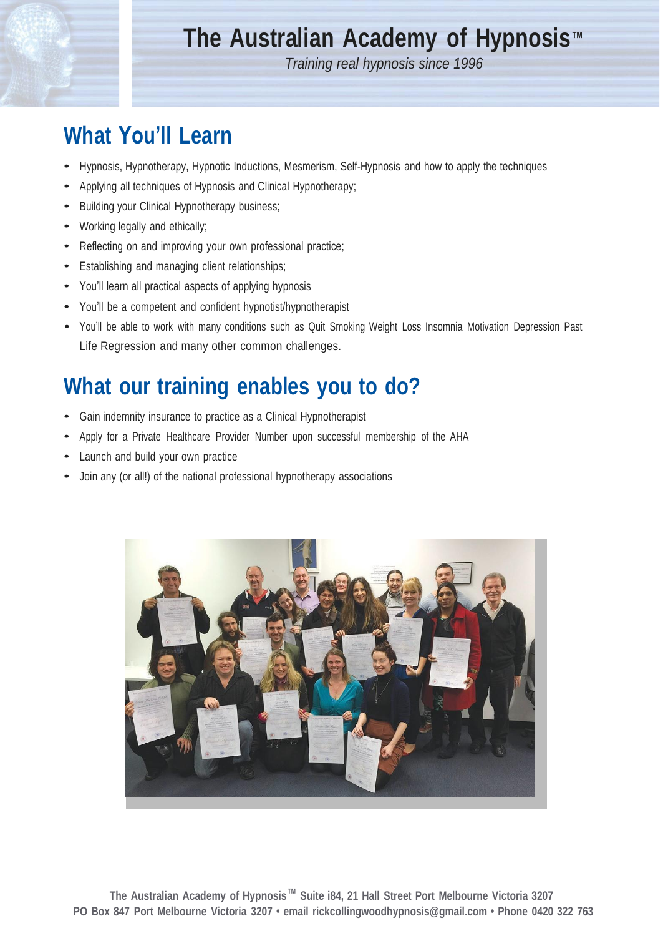*Training real hypnosis since 1996*

## **What You'll Learn**

- Hypnosis, Hypnotherapy, Hypnotic Inductions, Mesmerism, Self-Hypnosis and how to apply the techniques
- Applying all techniques of Hypnosis and Clinical Hypnotherapy;
- Building your Clinical Hypnotherapy business;
- Working legally and ethically;
- Reflecting on and improving your own professional practice;
- Establishing and managing client relationships;
- You'll learn all practical aspects of applying hypnosis
- You'll be <sup>a</sup> competent and confident hypnotist/hypnotherapist
- You'll be able to work with many conditions such as Quit Smoking Weight Loss Insomnia Motivation Depression Past Life Regression and many other common challenges.

## **What our training enables you to do?**

- Gain indemnity insurance to practice as <sup>a</sup> Clinical Hypnotherapist
- Apply for <sup>a</sup> Private Healthcare Provider Number upon successful membership of the AHA
- Launch and build your own practice
- Join any (or all!) of the national professional hypnotherapy associations

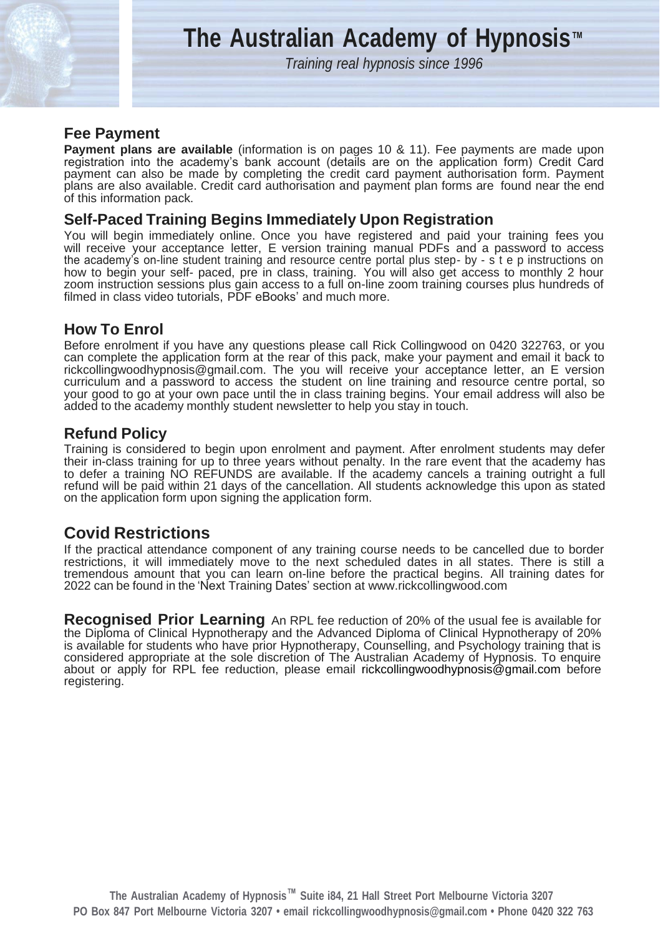

*Training real hypnosis since 1996*

### **Fee Payment**

**Payment plans are available** (information is on pages 10 & 11). Fee payments are made upon registration into the academy's bank account (details are on the application form) Credit Card payment can also be made by completing the credit card payment authorisation form. Payment plans are also available. Credit card authorisation and payment plan forms are found near the end of this information pack.

### **Self-Paced Training Begins Immediately Upon Registration**

You will begin immediately online. Once you have registered and paid your training fees you will receive your acceptance letter, E version training manual PDFs and a password to access the academy's on-line student training and resource centre portal plus step- by - s t e p instructions on how to begin your self- paced, pre in class, training. You will also get access to monthly 2 hour zoom instruction sessions plus gain access to a full on-line zoom training courses plus hundreds of filmed in class video tutorials, PDF eBooks' and much more.

### **How To Enrol**

Before enrolment if you have any questions please call Rick Collingwood on 0420 322763, or you can complete the application form at the rear of this pack, make your payment and email it back to [rickcollingwoodhypnosis@gmail.com.](mailto:rickcollingwoodhypnosis@gmail.com) The you will receive your acceptance letter, an E version curriculum and a password to access the student on line training and resource centre portal, so your good to go at your own pace until the in class training begins. Your email address will also be added to the academy monthly student newsletter to help you stay in touch.

### **Refund Policy**

Training is considered to begin upon enrolment and payment. After enrolment students may defer their in-class training for up to three years without penalty. In the rare event that the academy has to defer a training NO REFUNDS are available. If the academy cancels a training outright a full refund will be paid within 21 days of the cancellation. All students acknowledge this upon as stated on the application form upon signing the application form.

### **Covid Restrictions**

If the practical attendance component of any training course needs to be cancelled due to border restrictions, it will immediately move to the next scheduled dates in all states. There is still a tremendous amount that you can learn on-line before the practical begins. All training dates for 2022 can be found in the 'Next Training Dates' section at [www.rickcollingwood.com](http://www.rickcollingwood.com/)

**Recognised Prior Learning** An RPL fee reduction of 20% of the usual fee is available for the Diploma of Clinical Hypnotherapy and the Advanced Diploma of Clinical Hypnotherapy of 20% is available for students who have prior Hypnotherapy, Counselling, and Psychology training that is considered appropriate at the sole discretion of The Australian Academy of Hypnosis. To enquire about or apply for RPL fee reduction, please email [rickcollingwoodhypnosis@gmail.com](mailto:rickcollingwoodhypnosis@gmail.com) before registering.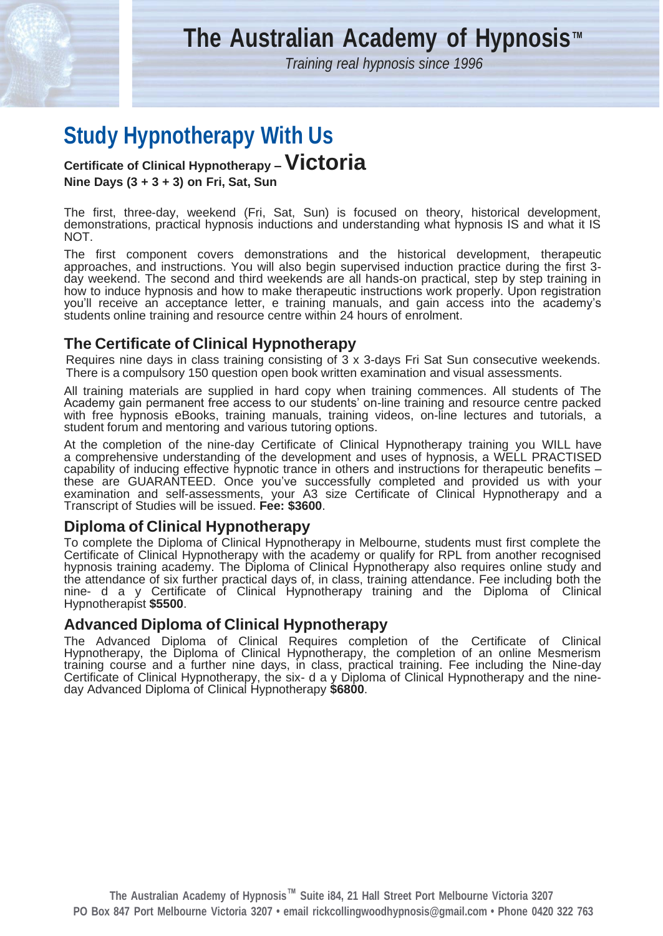*Training real hypnosis since 1996*

## **Study Hypnotherapy With Us**

**Certificate of Clinical Hypnotherapy –Victoria**

**Nine Days (3 + 3 + 3) on Fri, Sat, Sun**

The first, three-day, weekend (Fri, Sat, Sun) is focused on theory, historical development, demonstrations, practical hypnosis inductions and understanding what hypnosis IS and what it IS NOT.

The first component covers demonstrations and the historical development, therapeutic approaches, and instructions. You will also begin supervised induction practice during the first 3 day weekend. The second and third weekends are all hands-on practical, step by step training in how to induce hypnosis and how to make therapeutic instructions work properly. Upon registration you'll receive an acceptance letter, e training manuals, and gain access into the academy's students online training and resource centre within 24 hours of enrolment.

### **The Certificate of Clinical Hypnotherapy**

Requires nine days in class training consisting of 3 x 3-days Fri Sat Sun consecutive weekends. There is a compulsory 150 question open book written examination and visual assessments.

All training materials are supplied in hard copy when training commences. All students of The Academy gain permanent free access to our students' on-line training and resource centre packed with free hypnosis eBooks, training manuals, training videos, on-line lectures and tutorials, a student forum and mentoring and various tutoring options.

At the completion of the nine-day Certificate of Clinical Hypnotherapy training you WILL have a comprehensive understanding of the development and uses of hypnosis, a WELL PRACTISED capability of inducing effective hypnotic trance in others and instructions for therapeutic benefits – these are GUARANTEED. Once you've successfully completed and provided us with your examination and self-assessments, your A3 size Certificate of Clinical Hypnotherapy and a Transcript of Studies will be issued. **Fee: \$3600**.

### **Diploma of Clinical Hypnotherapy**

To complete the Diploma of Clinical Hypnotherapy in Melbourne, students must first complete the Certificate of Clinical Hypnotherapy with the academy or qualify for RPL from another recognised hypnosis training academy. The Diploma of Clinical Hypnotherapy also requires online study and the attendance of six further practical days of, in class, training attendance. Fee including both the nine- d a y Certificate of Clinical Hypnotherapy training and the Diploma of Clinical Hypnotherapist **\$5500**.

### **Advanced Diploma of Clinical Hypnotherapy**

The Advanced Diploma of Clinical Requires completion of the Certificate of Clinical Hypnotherapy, the Diploma of Clinical Hypnotherapy, the completion of an online Mesmerism training course and a further nine days, in class, practical training. Fee including the Nine-day Certificate of Clinical Hypnotherapy, the six- d a y Diploma of Clinical Hypnotherapy and the nineday Advanced Diploma of Clinical Hypnotherapy **\$6800**.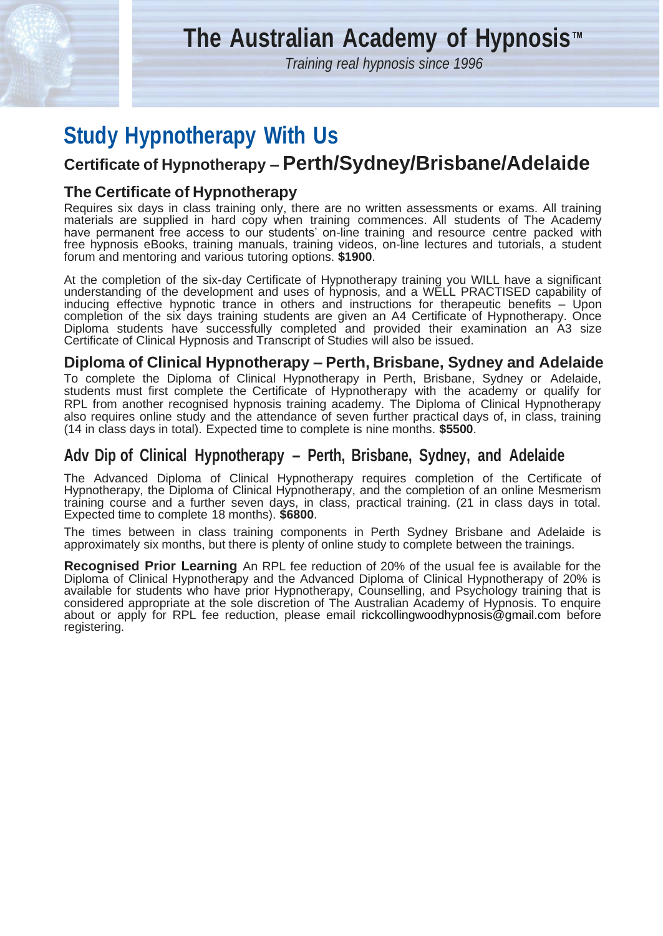

*Training real hypnosis since 1996*

## **Study Hypnotherapy With Us**

### **Certificate of Hypnotherapy – Perth/Sydney/Brisbane/Adelaide**

### **The Certificate of Hypnotherapy**

Requires six days in class training only, there are no written assessments or exams. All training materials are supplied in hard copy when training commences. All students of The Academy have permanent free access to our students' on-line training and resource centre packed with free hypnosis eBooks, training manuals, training videos, on-line lectures and tutorials, a student forum and mentoring and various tutoring options. **\$1900**.

At the completion of the six-day Certificate of Hypnotherapy training you WILL have a significant understanding of the development and uses of hypnosis, and a WELL PRACTISED capability of inducing effective hypnotic trance in others and instructions for therapeutic benefits – Upon completion of the six days training students are given an A4 Certificate of Hypnotherapy. Once Diploma students have successfully completed and provided their examination an A3 size Certificate of Clinical Hypnosis and Transcript of Studies will also be issued.

### **Diploma of Clinical Hypnotherapy – Perth, Brisbane, Sydney and Adelaide**

To complete the Diploma of Clinical Hypnotherapy in Perth, Brisbane, Sydney or Adelaide, students must first complete the Certificate of Hypnotherapy with the academy or qualify for RPL from another recognised hypnosis training academy. The Diploma of Clinical Hypnotherapy also requires online study and the attendance of seven further practical days of, in class, training (14 in class days in total). Expected time to complete is nine months. **\$5500**.

### **Adv Dip of Clinical Hypnotherapy – Perth, Brisbane, Sydney, and Adelaide**

The Advanced Diploma of Clinical Hypnotherapy requires completion of the Certificate of Hypnotherapy, the Diploma of Clinical Hypnotherapy, and the completion of an online Mesmerism training course and a further seven days, in class, practical training. (21 in class days in total. Expected time to complete 18 months). **\$6800**.

The times between in class training components in Perth Sydney Brisbane and Adelaide is approximately six months, but there is plenty of online study to complete between the trainings.

**Recognised Prior Learning** An RPL fee reduction of 20% of the usual fee is available for the Diploma of Clinical Hypnotherapy and the Advanced Diploma of Clinical Hypnotherapy of 20% is available for students who have prior Hypnotherapy, Counselling, and Psychology training that is considered appropriate at the sole discretion of The Australian Academy of Hypnosis. To enquire about or apply for RPL fee reduction, please email [rickcollingwoodhypnosis@gmail.com](mailto:rickcollingwoodhypnosis@gmail.com) before registering.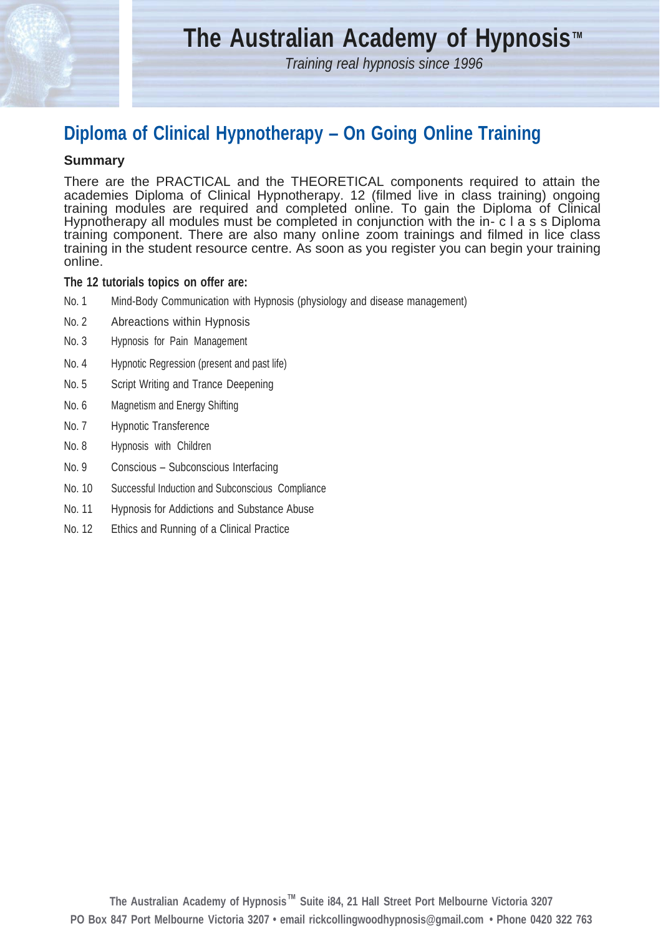*Training real hypnosis since 1996*

### **Diploma of Clinical Hypnotherapy – On Going Online Training**

#### **Summary**

There are the PRACTICAL and the THEORETICAL components required to attain the academies Diploma of Clinical Hypnotherapy. 12 (filmed live in class training) ongoing training modules are required and completed online. To gain the Diploma of Clinical Hypnotherapy all modules must be completed in conjunction with the in- c l a s s Diploma training component. There are also many online zoom trainings and filmed in lice class training in the student resource centre. As soon as you register you can begin your training online.

#### **The 12 tutorials topics on offer are:**

- No. 1 Mind-Body Communication with Hypnosis (physiology and disease management)
- No. 2 Abreactions within Hypnosis
- No. 3 Hypnosis for Pain Management
- No. 4 Hypnotic Regression (present and past life)
- No. 5 Script Writing and Trance Deepening
- No. 6 Magnetism and Energy Shifting
- No. 7 Hypnotic Transference
- No. 8 Hypnosis with Children
- No. 9 Conscious Subconscious Interfacing
- No. 10 Successful Induction and Subconscious Compliance
- No. 11 Hypnosis for Addictions and Substance Abuse
- No. 12 Ethics and Running of a Clinical Practice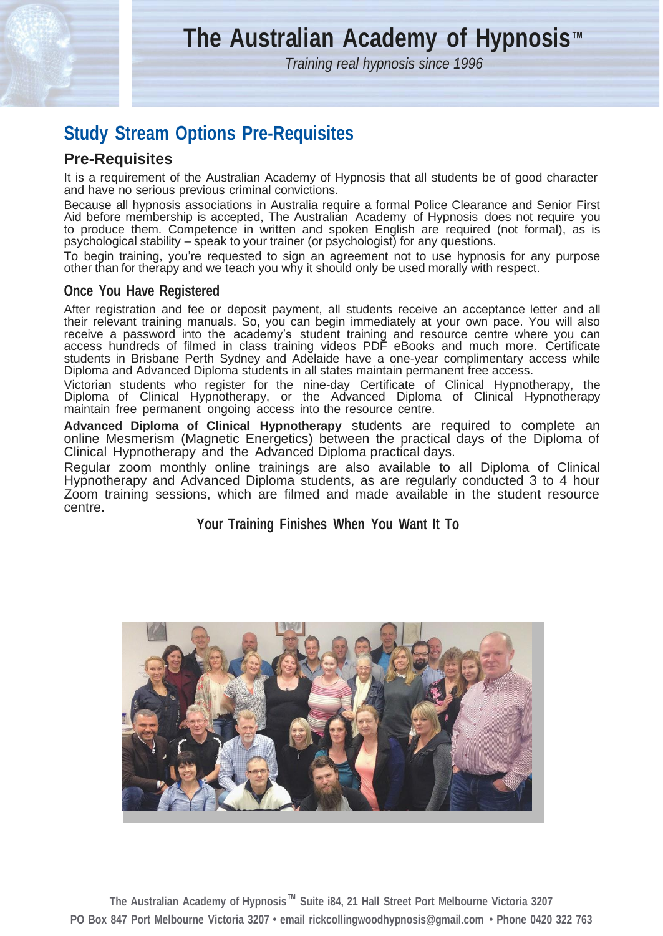*Training real hypnosis since 1996*

### **Study Stream Options Pre-Requisites**

### **Pre-Requisites**

It is a requirement of the Australian Academy of Hypnosis that all students be of good character and have no serious previous criminal convictions.

Because all hypnosis associations in Australia require a formal Police Clearance and Senior First Aid before membership is accepted, The Australian Academy of Hypnosis does not require you to produce them. Competence in written and spoken English are required (not formal), as is psychological stability – speak to your trainer (or psychologist) for any questions.

To begin training, you're requested to sign an agreement not to use hypnosis for any purpose other than for therapy and we teach you why it should only be used morally with respect.

#### **Once You Have Registered**

After registration and fee or deposit payment, all students receive an acceptance letter and all their relevant training manuals. So, you can begin immediately at your own pace. You will also receive a password into the academy's student training and resource centre where you can access hundreds of filmed in class training videos PDF eBooks and much more. Certificate students in Brisbane Perth Sydney and Adelaide have a one-year complimentary access while Diploma and Advanced Diploma students in all states maintain permanent free access.

Victorian students who register for the nine-day Certificate of Clinical Hypnotherapy, the Diploma of Clinical Hypnotherapy, or the Advanced Diploma of Clinical Hypnotherapy maintain free permanent ongoing access into the resource centre.

**Advanced Diploma of Clinical Hypnotherapy** students are required to complete an online Mesmerism (Magnetic Energetics) between the practical days of the Diploma of Clinical Hypnotherapy and the Advanced Diploma practical days.

Regular zoom monthly online trainings are also available to all Diploma of Clinical Hypnotherapy and Advanced Diploma students, as are regularly conducted 3 to 4 hour Zoom training sessions, which are filmed and made available in the student resource centre.

#### **Your Training Finishes When You Want It To**

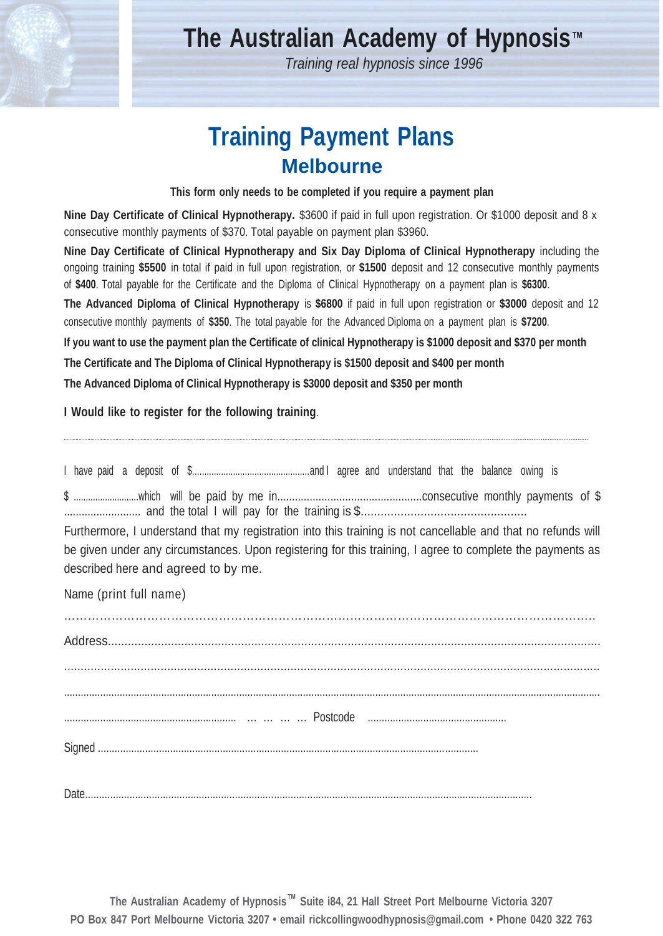

*Training real hypnosis since 1996*

## **Training Payment Plans Melbourne**

**This form only needs to be completed if you require a payment plan**

**Nine Day Certificate of Clinical Hypnotherapy.** \$3600 if paid in full upon registration. Or \$1000 deposit and 8 x consecutive monthly payments of \$370. Total payable on payment plan \$3960.

**Nine Day Certificate of Clinical Hypnotherapy and Six Day Diploma of Clinical Hypnotherapy** including the ongoing training **\$5500** in total if paid in full upon registration, or **\$1500** deposit and 12 consecutive monthly payments of **\$400**. Total payable for the Certificate and the Diploma of Clinical Hypnotherapy on a payment plan is **\$6300**.

**The Advanced Diploma of Clinical Hypnotherapy** is **\$6800** if paid in full upon registration or **\$3000** deposit and 12 consecutive monthly payments of **\$350**. The total payable for the Advanced Diploma on a payment plan is **\$7200**.

**If you want to use the payment plan the Certificate of clinical Hypnotherapy is \$1000 deposit and \$370 per month**

**The Certificate and The Diploma of Clinical Hypnotherapy is \$1500 deposit and \$400 per month**

**The Advanced Diploma of Clinical Hypnotherapy is \$3000 deposit and \$350 per month**

**I Would like to register for the following training**.

I have paid a deposit of \$.................................................and I agree and understand that the balance owing is

..................................................................................................................................................................................................................................................................................................................................................

\$ ...........................which will be paid by me in.................................................consecutive monthly payments of \$ .......................... and the total I will pay for the training is \$.................................................. Furthermore, I understand that my registration into this training is not cancellable and that no refunds will be given under any circumstances. Upon registering for this training, I agree to complete the payments as

Name (print full name)

described here and agreed to by me.

…………………………………………………………………………………………………………………….. Address.................................................................................................................................................... ................................................................................................................................................................. ................................................................................................................................................................................................. .............................................................. … … … … Postcode .................................................. Signed ......................................................................................................................................... Date.................................................................................................................................................................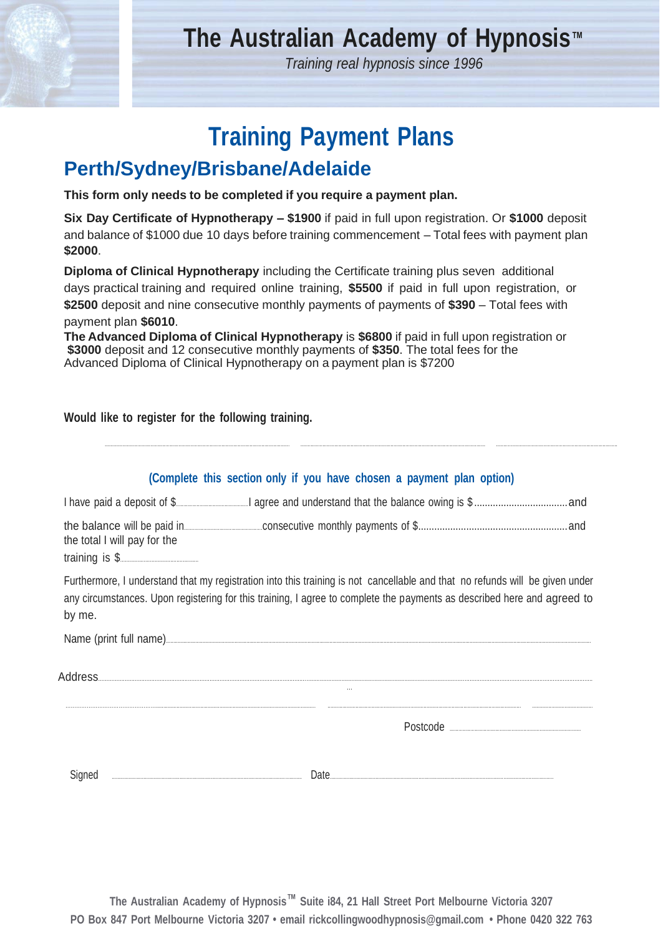

*Training real hypnosis since 1996*

# **Training Payment Plans**

### **Perth/Sydney/Brisbane/Adelaide**

**This form only needs to be completed if you require a payment plan.**

**Six Day Certificate of Hypnotherapy – \$1900** if paid in full upon registration. Or **\$1000** deposit and balance of \$1000 due 10 days before training commencement – Total fees with payment plan **\$2000**.

**Diploma of Clinical Hypnotherapy** including the Certificate training plus seven additional days practical training and required online training, **\$5500** if paid in full upon registration, or **\$2500** deposit and nine consecutive monthly payments of payments of **\$390** – Total fees with payment plan **\$6010**.

**The Advanced Diploma of Clinical Hypnotherapy** is **\$6800** if paid in full upon registration or **\$3000** deposit and 12 consecutive monthly payments of **\$350**. The total fees for the Advanced Diploma of Clinical Hypnotherapy on a payment plan is \$7200

............................................................................................................................. ............................................................................................................................. ..................................................................................

### **Would like to register for the following training.**

|                              | (Complete this section only if you have chosen a payment plan option)                                                                                                                                                                                   |  |  |  |  |
|------------------------------|---------------------------------------------------------------------------------------------------------------------------------------------------------------------------------------------------------------------------------------------------------|--|--|--|--|
|                              |                                                                                                                                                                                                                                                         |  |  |  |  |
| the total I will pay for the |                                                                                                                                                                                                                                                         |  |  |  |  |
| by me.                       | Furthermore, I understand that my registration into this training is not cancellable and that no refunds will be given under<br>any circumstances. Upon registering for this training, I agree to complete the payments as described here and agreed to |  |  |  |  |
|                              |                                                                                                                                                                                                                                                         |  |  |  |  |
|                              |                                                                                                                                                                                                                                                         |  |  |  |  |
|                              |                                                                                                                                                                                                                                                         |  |  |  |  |
| Signed                       |                                                                                                                                                                                                                                                         |  |  |  |  |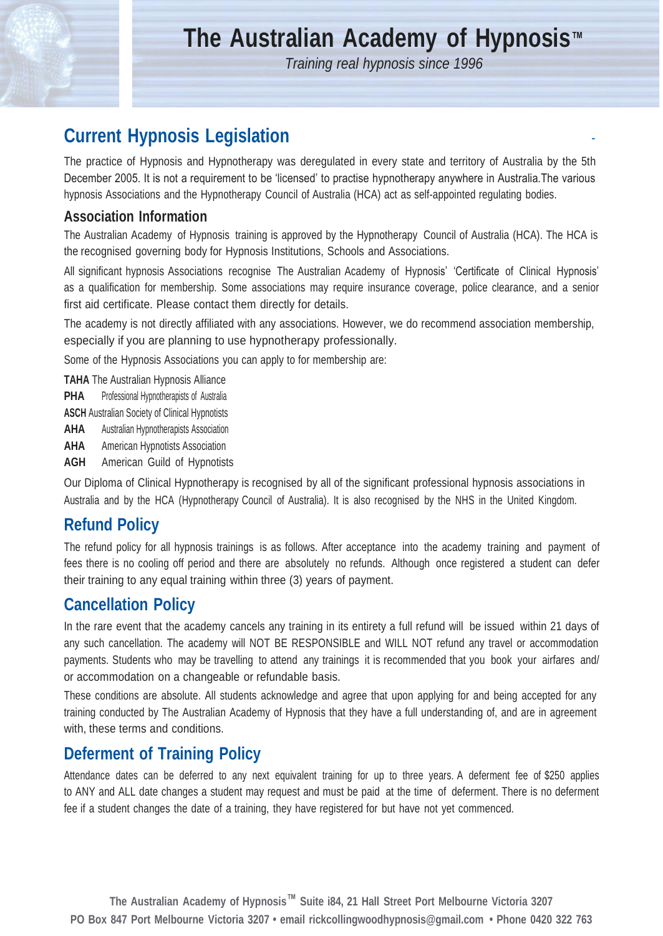

*Training real hypnosis since 1996*

### **Current Hypnosis Legislation** -

The practice of Hypnosis and Hypnotherapy was deregulated in every state and territory of Australia by the 5th December 2005. It is not a requirement to be 'licensed' to practise hypnotherapy anywhere in Australia.The various hypnosis Associations and the Hypnotherapy Council of Australia (HCA) act as self-appointed regulating bodies.

### **Association Information**

The Australian Academy of Hypnosis training is approved by the Hypnotherapy Council of Australia (HCA). The HCA is the recognised governing body for Hypnosis Institutions, Schools and Associations.

All significant hypnosis Associations recognise The Australian Academy of Hypnosis' 'Certificate of Clinical Hypnosis' as a qualification for membership. Some associations may require insurance coverage, police clearance, and a senior first aid certificate. Please contact them directly for details.

The academy is not directly affiliated with any associations. However, we do recommend association membership, especially if you are planning to use hypnotherapy professionally.

Some of the Hypnosis Associations you can apply to for membership are:

**TAHA** The Australian Hypnosis Alliance

- **PHA** Professional Hypnotherapists of Australia
- **ASCH** Australian Society of Clinical Hypnotists
- **AHA** Australian Hypnotherapists Association
- **AHA** American Hypnotists Association
- **AGH** American Guild of Hypnotists

Our Diploma of Clinical Hypnotherapy is recognised by all of the significant professional hypnosis associations in Australia and by the HCA (Hypnotherapy Council of Australia). It is also recognised by the NHS in the United Kingdom.

### **Refund Policy**

The refund policy for all hypnosis trainings is as follows. After acceptance into the academy training and payment of fees there is no cooling off period and there are absolutely no refunds. Although once registered a student can defer their training to any equal training within three (3) years of payment.

### **Cancellation Policy**

In the rare event that the academy cancels any training in its entirety a full refund will be issued within 21 days of any such cancellation. The academy will NOT BE RESPONSIBLE and WILL NOT refund any travel or accommodation payments. Students who may be travelling to attend any trainings it is recommended that you book your airfares and/ or accommodation on a changeable or refundable basis.

These conditions are absolute. All students acknowledge and agree that upon applying for and being accepted for any training conducted by The Australian Academy of Hypnosis that they have a full understanding of, and are in agreement with, these terms and conditions.

### **Deferment of Training Policy**

Attendance dates can be deferred to any next equivalent training for up to three years. A deferment fee of \$250 applies to ANY and ALL date changes a student may request and must be paid at the time of deferment. There is no deferment fee if a student changes the date of a training, they have registered for but have not yet commenced.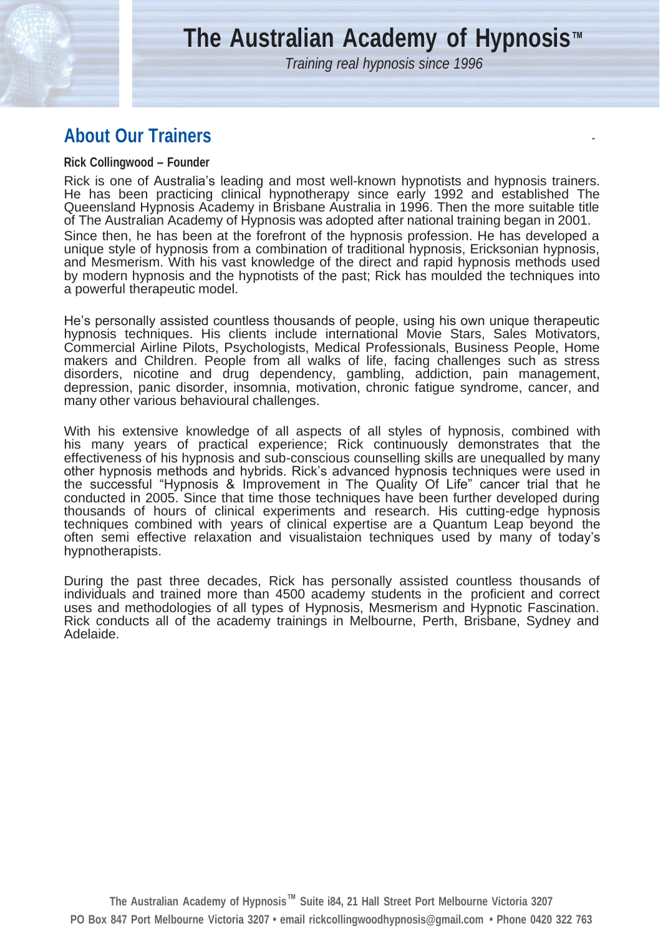*Training real hypnosis since 1996*

### **About Our Trainers** -

#### **Rick Collingwood – Founder**

Rick is one of Australia's leading and most well-known hypnotists and hypnosis trainers. He has been practicing clinical hypnotherapy since early 1992 and established The Queensland Hypnosis Academy in Brisbane Australia in 1996. Then the more suitable title of The Australian Academy of Hypnosis was adopted after national training began in 2001. Since then, he has been at the forefront of the hypnosis profession. He has developed a unique style of hypnosis from a combination of traditional hypnosis, Ericksonian hypnosis, and Mesmerism. With his vast knowledge of the direct and rapid hypnosis methods used by modern hypnosis and the hypnotists of the past; Rick has moulded the techniques into a powerful therapeutic model.

He's personally assisted countless thousands of people, using his own unique therapeutic hypnosis techniques. His clients include international Movie Stars, Sales Motivators, Commercial Airline Pilots, Psychologists, Medical Professionals, Business People, Home makers and Children. People from all walks of life, facing challenges such as stress disorders, nicotine and drug dependency, gambling, addiction, pain management, depression, panic disorder, insomnia, motivation, chronic fatigue syndrome, cancer, and many other various behavioural challenges.

With his extensive knowledge of all aspects of all styles of hypnosis, combined with his many years of practical experience; Rick continuously demonstrates that the effectiveness of his hypnosis and sub-conscious counselling skills are unequalled by many other hypnosis methods and hybrids. Rick's advanced hypnosis techniques were used in the successful "Hypnosis & Improvement in The Quality Of Life" cancer trial that he conducted in 2005. Since that time those techniques have been further developed during thousands of hours of clinical experiments and research. His cutting-edge hypnosis techniques combined with years of clinical expertise are a Quantum Leap beyond the often semi effective relaxation and visualistaion techniques used by many of today's hypnotherapists.

During the past three decades, Rick has personally assisted countless thousands of individuals and trained more than 4500 academy students in the proficient and correct uses and methodologies of all types of Hypnosis, Mesmerism and Hypnotic Fascination. Rick conducts all of the academy trainings in Melbourne, Perth, Brisbane, Sydney and Adelaide.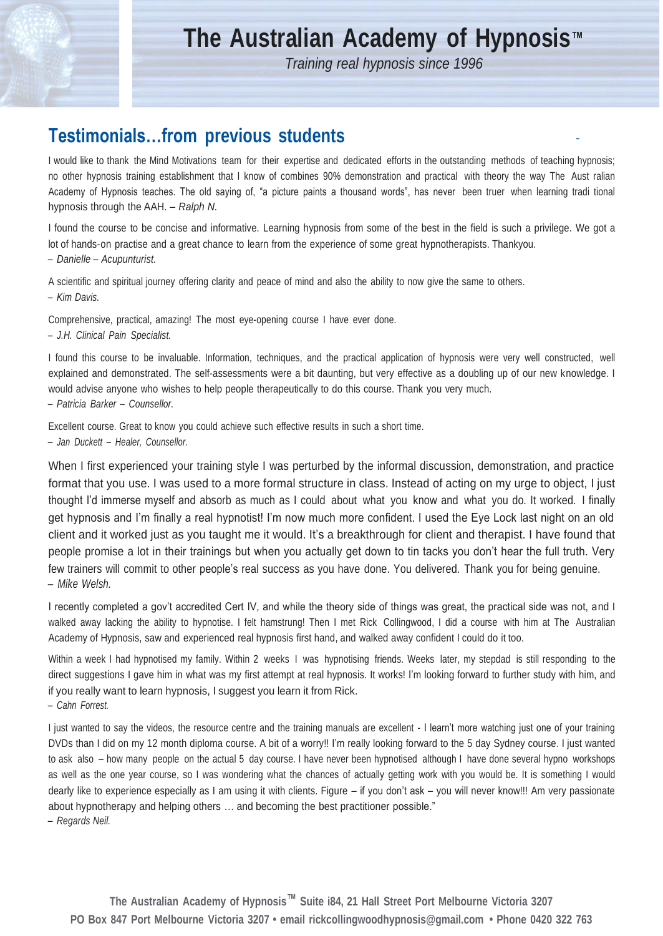*Training real hypnosis since 1996*

### **Testimonials…from previous students** -

I would like to thank the Mind Motivations team for their expertise and dedicated efforts in the outstanding methods of teaching hypnosis; no other hypnosis training establishment that I know of combines 90% demonstration and practical with theory the way The Aust ralian Academy of Hypnosis teaches. The old saying of, "a picture paints a thousand words", has never been truer when learning tradi tional hypnosis through the AAH. *– Ralph N.*

I found the course to be concise and informative. Learning hypnosis from some of the best in the field is such a privilege. We got a lot of hands-on practise and a great chance to learn from the experience of some great hypnotherapists. Thankyou. – *Danielle – Acupunturist.*

A scientific and spiritual journey offering clarity and peace of mind and also the ability to now give the same to others. – *Kim Davis.*

Comprehensive, practical, amazing! The most eye-opening course I have ever done. – *J.H. Clinical Pain Specialist.*

I found this course to be invaluable. Information, techniques, and the practical application of hypnosis were very well constructed, well explained and demonstrated. The self-assessments were a bit daunting, but very effective as a doubling up of our new knowledge. I would advise anyone who wishes to help people therapeutically to do this course. Thank you very much.

– *Patricia Barker – Counsellor.*

Excellent course. Great to know you could achieve such effective results in such a short time.

– *Jan Duckett – Healer, Counsellor.*

When I first experienced your training style I was perturbed by the informal discussion, demonstration, and practice format that you use. I was used to a more formal structure in class. Instead of acting on my urge to object, I just thought I'd immerse myself and absorb as much as I could about what you know and what you do. It worked. I finally get hypnosis and I'm finally a real hypnotist! I'm now much more confident. I used the Eye Lock last night on an old client and it worked just as you taught me it would. It's a breakthrough for client and therapist. I have found that people promise a lot in their trainings but when you actually get down to tin tacks you don't hear the full truth. Very few trainers will commit to other people's real success as you have done. You delivered. Thank you for being genuine. – *Mike Welsh.*

I recently completed a gov't accredited Cert IV, and while the theory side of things was great, the practical side was not, and I walked away lacking the ability to hypnotise. I felt hamstrung! Then I met Rick Collingwood, I did a course with him at The Australian Academy of Hypnosis, saw and experienced real hypnosis first hand, and walked away confident I could do it too.

Within a week I had hypnotised my family. Within 2 weeks I was hypnotising friends. Weeks later, my stepdad is still responding to the direct suggestions I gave him in what was my first attempt at real hypnosis. It works! I'm looking forward to further study with him, and if you really want to learn hypnosis, I suggest you learn it from Rick.

– *Cahn Forrest.*

I just wanted to say the videos, the resource centre and the training manuals are excellent - I learn't more watching just one of your training DVDs than I did on my 12 month diploma course. A bit of a worry!! I'm really looking forward to the 5 day Sydney course. I just wanted to ask also – how many people on the actual 5 day course. I have never been hypnotised although I have done several hypno workshops as well as the one year course, so I was wondering what the chances of actually getting work with you would be. It is something I would dearly like to experience especially as I am using it with clients. Figure – if you don't ask – you will never know!!! Am very passionate about hypnotherapy and helping others … and becoming the best practitioner possible."

– *Regards Neil.*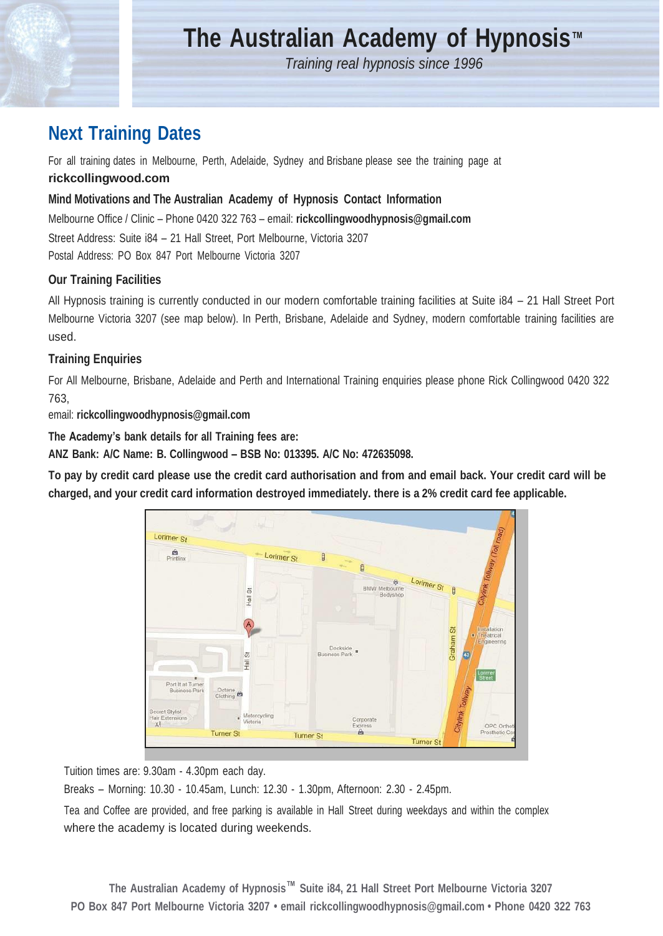*Training real hypnosis since 1996*

### **Next Training Dates**

For all training dates in Melbourne, Perth, Adelaide, Sydney and Brisbane please see the training page at **rickcollingwood.com**

#### **Mind Motivations and The Australian Academy of Hypnosis Contact Information**

Melbourne Office / Clinic – Phone 0420 322 763 – email: **[rickcollingwoodhypnosis@gmail.com](mailto:rickcollingwoodhypnosis@gmail.com)** Street Address: Suite i84 – 21 Hall Street, Port Melbourne, Victoria 3207 Postal Address: PO Box 847 Port Melbourne Victoria 3207

#### **Our Training Facilities**

All Hypnosis training is currently conducted in our modern comfortable training facilities at Suite i84 – 21 Hall Street Port Melbourne Victoria 3207 (see map below). In Perth, Brisbane, Adelaide and Sydney, modern comfortable training facilities are used.

### **Training Enquiries**

For All Melbourne, Brisbane, Adelaide and Perth and International Training enquiries please phone Rick Collingwood 0420 322 763,

email: **[rickcollingwoodhypnosis@gmail.com](mailto:rickcollingwoodhypnosis@gmail.com)**

**The Academy's bank details for all Training fees are:**

**ANZ Bank: A/C Name: B. Collingwood – BSB No: 013395. A/C No: 472635098.**

To pay by credit card please use the credit card authorisation and from and email back. Your credit card will be **charged, and your credit card information destroyed immediately. there is a 2% credit card fee applicable.**



Tuition times are: 9.30am - 4.30pm each day.

Breaks – Morning: 10.30 - 10.45am, Lunch: 12.30 - 1.30pm, Afternoon: 2.30 - 2.45pm.

Tea and Coffee are provided, and free parking is available in Hall Street during weekdays and within the complex where the academy is located during weekends.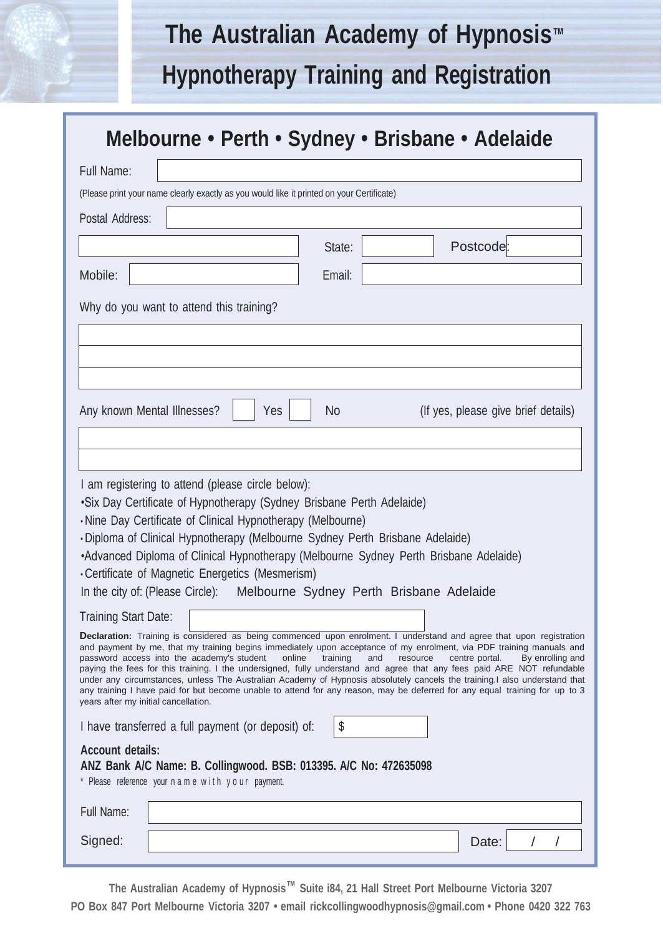# **Hypnotherapy Training and Registration The Australian Academy of Hypnosis™**

| Melbourne • Perth • Sydney • Brisbane • Adelaide                                                                                                                                                                                                                                                  |
|---------------------------------------------------------------------------------------------------------------------------------------------------------------------------------------------------------------------------------------------------------------------------------------------------|
| Full Name:                                                                                                                                                                                                                                                                                        |
| (Please print your name clearly exactly as you would like it printed on your Certificate)                                                                                                                                                                                                         |
| Postal Address:                                                                                                                                                                                                                                                                                   |
| Postcode:<br>State:                                                                                                                                                                                                                                                                               |
| Mobile:<br>Email:                                                                                                                                                                                                                                                                                 |
| Why do you want to attend this training?                                                                                                                                                                                                                                                          |
|                                                                                                                                                                                                                                                                                                   |
|                                                                                                                                                                                                                                                                                                   |
|                                                                                                                                                                                                                                                                                                   |
| Yes<br><b>No</b><br>Any known Mental Illnesses?<br>(If yes, please give brief details)                                                                                                                                                                                                            |
|                                                                                                                                                                                                                                                                                                   |
|                                                                                                                                                                                                                                                                                                   |
| I am registering to attend (please circle below):                                                                                                                                                                                                                                                 |
| •Six Day Certificate of Hypnotherapy (Sydney Brisbane Perth Adelaide)<br>. Nine Day Certificate of Clinical Hypnotherapy (Melbourne)                                                                                                                                                              |
| . Diploma of Clinical Hypnotherapy (Melbourne Sydney Perth Brisbane Adelaide)                                                                                                                                                                                                                     |
| •Advanced Diploma of Clinical Hypnotherapy (Melbourne Sydney Perth Brisbane Adelaide)                                                                                                                                                                                                             |
| • Certificate of Magnetic Energetics (Mesmerism)<br>In the city of: (Please Circle): Melbourne Sydney Perth Brisbane Adelaide                                                                                                                                                                     |
| <b>Training Start Date:</b>                                                                                                                                                                                                                                                                       |
| Declaration: Training is considered as being commenced upon enrolment. I understand and agree that upon registration<br>and payment by me, that my training begins immediately upon acceptance of my enrolment, via PDF training manuals and                                                      |
| password access into the academy's student<br>online<br>training<br>and<br>resource<br>centre portal.<br>By enrolling and<br>paying the fees for this training. I the undersigned, fully understand and agree that any fees paid ARE NOT refundable                                               |
| under any circumstances, unless The Australian Academy of Hypnosis absolutely cancels the training. I also understand that<br>any training I have paid for but become unable to attend for any reason, may be deferred for any equal training for up to 3<br>years after my initial cancellation. |
| \$<br>I have transferred a full payment (or deposit) of:                                                                                                                                                                                                                                          |
| <b>Account details:</b>                                                                                                                                                                                                                                                                           |
| ANZ Bank A/C Name: B. Collingwood. BSB: 013395. A/C No: 472635098                                                                                                                                                                                                                                 |
| * Please reference your name with your payment.                                                                                                                                                                                                                                                   |
| Full Name:                                                                                                                                                                                                                                                                                        |
| Signed:<br>Date:                                                                                                                                                                                                                                                                                  |

**The Australian Academy of Hypnosis™ Suite i84, 21 Hall Street Port Melbourne Victoria 3207 PO Box 847 Port Melbourne Victoria 3207 • email [rickcollingwoodhypnosis@gmail.com](mailto:rickcollingwoodhypnosis@gmail.com) • Phone 0420 322 763**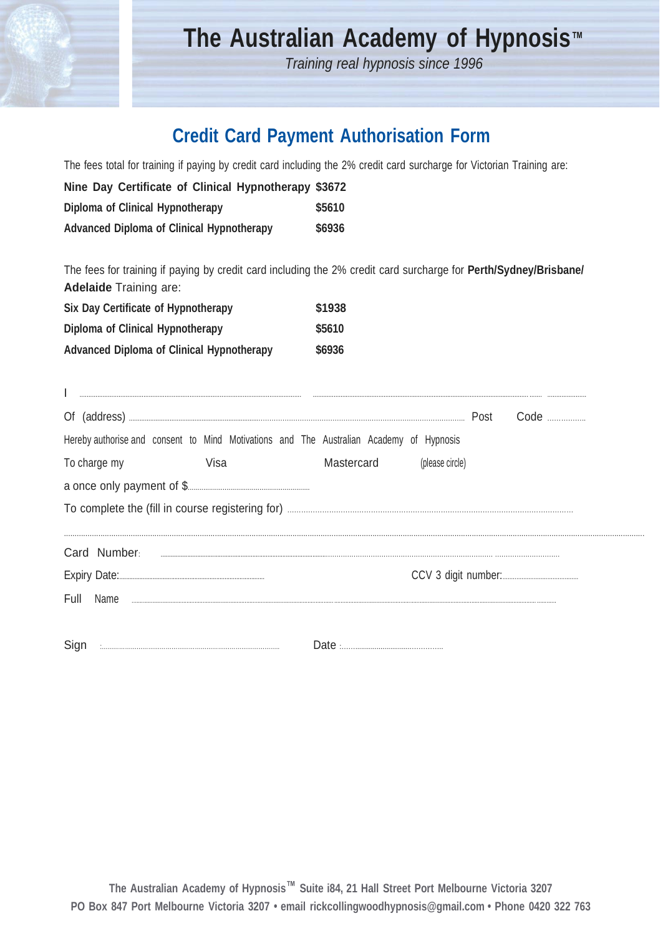

*Training real hypnosis since 1996*

### **Credit Card Payment Authorisation Form**

The fees total for training if paying by credit card including the 2% credit card surcharge for Victorian Training are:

| Nine Day Certificate of Clinical Hypnotherapy \$3672 |        |  |  |  |
|------------------------------------------------------|--------|--|--|--|
| \$5610<br>Diploma of Clinical Hypnotherapy           |        |  |  |  |
| <b>Advanced Diploma of Clinical Hypnotherapy</b>     | \$6936 |  |  |  |

The fees for training if paying by credit card including the 2% credit card surcharge for **Perth/Sydney/Brisbane/ Adelaide** Training are:

| Six Day Certificate of Hypnotherapy              | \$1938 |
|--------------------------------------------------|--------|
| Diploma of Clinical Hypnotherapy                 | \$5610 |
| <b>Advanced Diploma of Clinical Hypnotherapy</b> | \$6936 |

|                                                                                         |      |            |                 | Post | Code |  |  |  |  |
|-----------------------------------------------------------------------------------------|------|------------|-----------------|------|------|--|--|--|--|
| Hereby authorise and consent to Mind Motivations and The Australian Academy of Hypnosis |      |            |                 |      |      |  |  |  |  |
| To charge my                                                                            | Visa | Mastercard | (please circle) |      |      |  |  |  |  |
|                                                                                         |      |            |                 |      |      |  |  |  |  |
|                                                                                         |      |            |                 |      |      |  |  |  |  |
|                                                                                         |      |            |                 |      |      |  |  |  |  |
| Card Number:                                                                            |      |            |                 |      |      |  |  |  |  |
|                                                                                         |      |            |                 |      |      |  |  |  |  |
| Full Name                                                                               |      |            |                 |      |      |  |  |  |  |
|                                                                                         |      |            |                 |      |      |  |  |  |  |
|                                                                                         |      |            |                 |      |      |  |  |  |  |